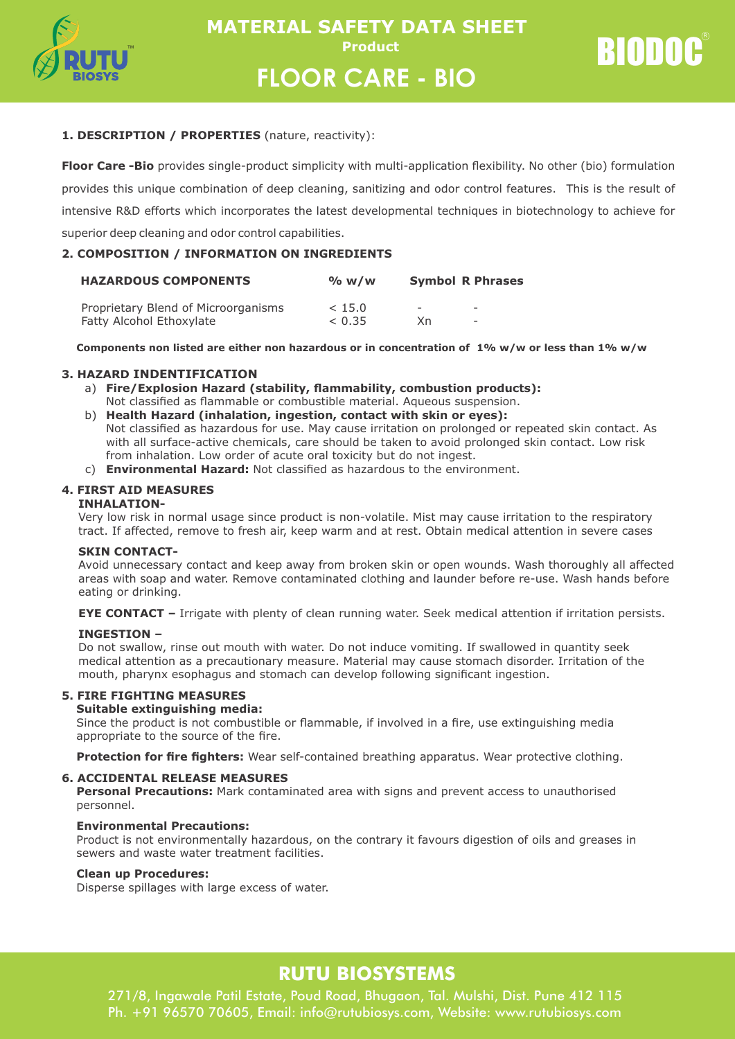

RIODOC

# **1. DESCRIPTION / PROPERTIES** (nature, reactivity):

**Floor Care -Bio** provides single-product simplicity with multi-application flexibility. No other (bio) formulation provides this unique combination of deep cleaning, sanitizing and odor control features. This is the result of intensive R&D efforts which incorporates the latest developmental techniques in biotechnology to achieve for superior deep cleaning and odor control capabilities.

# **2. COMPOSITION / INFORMATION ON INGREDIENTS**

| <b>HAZARDOUS COMPONENTS</b>         | % w/w  |                          | <b>Symbol R Phrases</b>  |  |
|-------------------------------------|--------|--------------------------|--------------------------|--|
| Proprietary Blend of Microorganisms | < 15.0 | $\overline{\phantom{0}}$ | $\overline{\phantom{a}}$ |  |
| Fatty Alcohol Ethoxylate            | < 0.35 | Χn.                      | $\overline{\phantom{a}}$ |  |

 **Components non listed are either non hazardous or in concentration of 1% w/w or less than 1% w/w**

# **3. HAZARD INDENTIFICATION**

- a) **Fire/Explosion Hazard (stability, flammability, combustion products):**
- Not classified as flammable or combustible material. Aqueous suspension.
- b) **Health Hazard (inhalation, ingestion, contact with skin or eyes):** Not classified as hazardous for use. May cause irritation on prolonged or repeated skin contact. As with all surface-active chemicals, care should be taken to avoid prolonged skin contact. Low risk from inhalation. Low order of acute oral toxicity but do not ingest.
- c) **Environmental Hazard:** Not classified as hazardous to the environment.

# **4. FIRST AID MEASURES**

### **INHALATION-**

Very low risk in normal usage since product is non-volatile. Mist may cause irritation to the respiratory tract. If affected, remove to fresh air, keep warm and at rest. Obtain medical attention in severe cases

### **SKIN CONTACT-**

Avoid unnecessary contact and keep away from broken skin or open wounds. Wash thoroughly all affected areas with soap and water. Remove contaminated clothing and launder before re-use. Wash hands before eating or drinking.

**EYE CONTACT –** Irrigate with plenty of clean running water. Seek medical attention if irritation persists.

### **INGESTION –**

Do not swallow, rinse out mouth with water. Do not induce vomiting. If swallowed in quantity seek medical attention as a precautionary measure. Material may cause stomach disorder. Irritation of the mouth, pharynx esophagus and stomach can develop following significant ingestion.

# **5. FIRE FIGHTING MEASURES**

# **Suitable extinguishing media:**

Since the product is not combustible or flammable, if involved in a fire, use extinguishing media appropriate to the source of the fire.

**Protection for fire fighters:** Wear self-contained breathing apparatus. Wear protective clothing.

# **6. ACCIDENTAL RELEASE MEASURES**

**Personal Precautions:** Mark contaminated area with signs and prevent access to unauthorised personnel.

### **Environmental Precautions:**

Product is not environmentally hazardous, on the contrary it favours digestion of oils and greases in sewers and waste water treatment facilities.

### **Clean up Procedures:**

Disperse spillages with large excess of water.

# **RUTU BIOSYSTEMS**

271/8, Ingawale Patil Estate, Poud Road, Bhugaon, Tal. Mulshi, Dist. Pune 412 115 Ph. +91 96570 70605, Email: info@rutubiosys.com, Website: www.rutubiosys.com